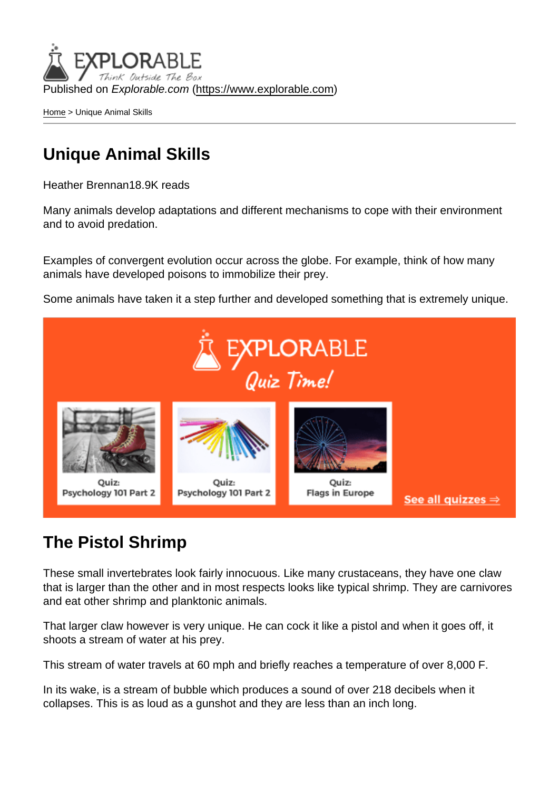Published on Explorable.com (<https://www.explorable.com>)

[Home](https://www.explorable.com/) > Unique Animal Skills

### Unique Animal Skills

Heather Brennan18.9K reads

Many animals develop adaptations and different mechanisms to cope with their environment and to avoid predation.

Examples of convergent evolution occur across the globe. For example, think of how many animals have developed poisons to immobilize their prey.

Some animals have taken it a step further and developed something that is extremely unique.

### The Pistol Shrimp

These small invertebrates look fairly innocuous. Like many crustaceans, they have one claw that is larger than the other and in most respects looks like typical shrimp. They are carnivores and eat other shrimp and planktonic animals.

That larger claw however is very unique. He can cock it like a pistol and when it goes off, it shoots a stream of water at his prey.

This stream of water travels at 60 mph and briefly reaches a temperature of over 8,000 F.

In its wake, is a stream of bubble which produces a sound of over 218 decibels when it collapses. This is as loud as a gunshot and they are less than an inch long.